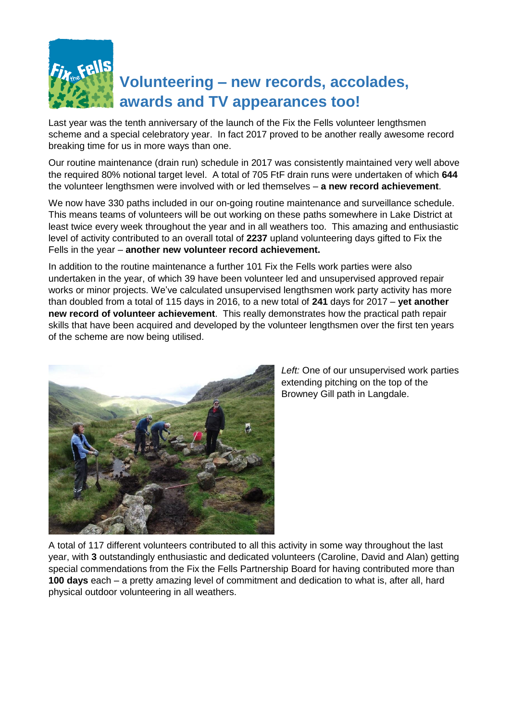

## **Volunteering – new records, accolades, awards and TV appearances too!**

Last year was the tenth anniversary of the launch of the Fix the Fells volunteer lengthsmen scheme and a special celebratory year. In fact 2017 proved to be another really awesome record breaking time for us in more ways than one.

Our routine maintenance (drain run) schedule in 2017 was consistently maintained very well above the required 80% notional target level. A total of 705 FtF drain runs were undertaken of which **644** the volunteer lengthsmen were involved with or led themselves – **a new record achievement**.

We now have 330 paths included in our on-going routine maintenance and surveillance schedule. This means teams of volunteers will be out working on these paths somewhere in Lake District at least twice every week throughout the year and in all weathers too. This amazing and enthusiastic level of activity contributed to an overall total of **2237** upland volunteering days gifted to Fix the Fells in the year – **another new volunteer record achievement.**

In addition to the routine maintenance a further 101 Fix the Fells work parties were also undertaken in the year, of which 39 have been volunteer led and unsupervised approved repair works or minor projects. We've calculated unsupervised lengthsmen work party activity has more than doubled from a total of 115 days in 2016, to a new total of **241** days for 2017 – **yet another new record of volunteer achievement**. This really demonstrates how the practical path repair skills that have been acquired and developed by the volunteer lengthsmen over the first ten years of the scheme are now being utilised.



*Left:* One of our unsupervised work parties extending pitching on the top of the Browney Gill path in Langdale.

A total of 117 different volunteers contributed to all this activity in some way throughout the last year, with **3** outstandingly enthusiastic and dedicated volunteers (Caroline, David and Alan) getting special commendations from the Fix the Fells Partnership Board for having contributed more than **100 days** each – a pretty amazing level of commitment and dedication to what is, after all, hard physical outdoor volunteering in all weathers.